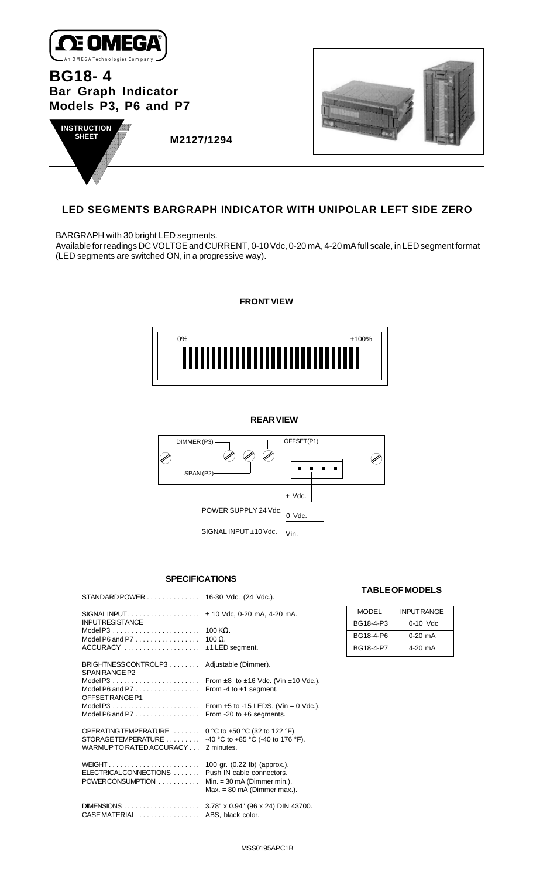

**BG18- 4 Bar Graph Indicator Models P3, P6 and P7**





 **M2127/1294**

# **LED SEGMENTS BARGRAPH INDICATOR WITH UNIPOLAR LEFT SIDE ZERO**

BARGRAPH with 30 bright LED segments.

Available for readings DC VOLTGE and CURRENT, 0-10 Vdc, 0-20 mA, 4-20 mA full scale, in LED segment format (LED segments are switched ON, in a progressive way).

**FRONT VIEW**





## **SPECIFICATIONS**

|                                                              | 16-30 Vdc. (24 Vdc.).                                                          |
|--------------------------------------------------------------|--------------------------------------------------------------------------------|
| <b>INPUTRESISTANCE</b>                                       | $\pm$ 10 Vdc, 0-20 mA, 4-20 mA.                                                |
| Model P3 $\ldots$ , $\ldots$ , $\ldots$ , $\ldots$           | 100 K $\Omega$ .                                                               |
| Model P6 and P7 $\ldots$ , $\ldots$ , $\ldots$<br>$ACCURACY$ | $100 \Omega$ .<br>$±1$ LED segment.                                            |
|                                                              |                                                                                |
| BRIGHTNESSCONTROLP3<br>SPAN RANGE P2                         | Adjustable (Dimmer).                                                           |
|                                                              | From $\pm 8$ to $\pm 16$ Vdc. (Vin $\pm 10$ Vdc.).                             |
| Model P6 and P7 $\ldots$ , $\ldots$<br>OFFSETRANGE P1        | From -4 to +1 segment.                                                         |
|                                                              | From $+5$ to -15 LEDS. (Vin = 0 Vdc.).                                         |
| Model P6 and P7 $\ldots$ , $\ldots$                          | From -20 to $+6$ segments.                                                     |
| OPERATINGTEMPERATURE<br>STORAGETEMPERATURE                   | 0 °C to +50 °C (32 to 122 °F).<br>-40 °C to +85 °C (-40 to 176 °F).            |
| WARMUP TO RATED ACCURACY                                     | 2 minutes.                                                                     |
|                                                              | 100 gr. (0.22 lb) (approx.).                                                   |
| ELECTRICALCONNECTIONS                                        | Push IN cable connectors.                                                      |
| POWERCONSUMPTION                                             | $Min. = 30 \text{ mA}$ (Dimmer min.).<br>$Max. = 80 \text{ mA}$ (Dimmer max.). |
|                                                              | 3.78" x 0.94" (96 x 24) DIN 43700.                                             |
| CASEMATERIAL                                                 | ABS, black color.                                                              |

## **TABLE OF MODELS**

| <b>MODEL</b> | <b>INPUTRANGE</b> |
|--------------|-------------------|
| BG18-4-P3    | $0-10$ Vdc        |
| BG18-4-P6    | 0-20 mA           |
| BG18-4-P7    | 4-20 mA           |